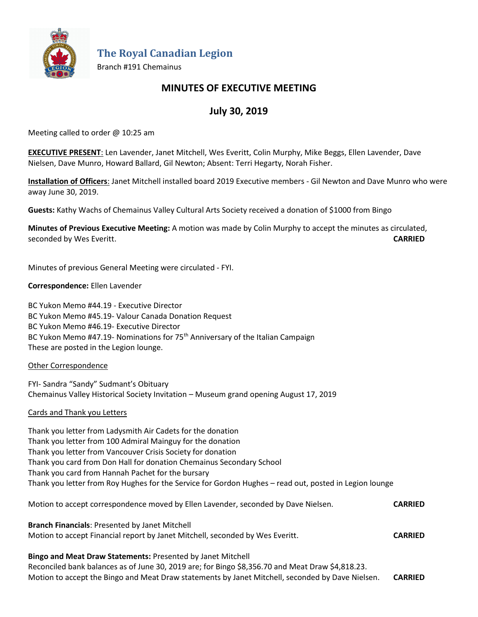

**The Royal Canadian Legion**

Branch #191 Chemainus

## **MINUTES OF EXECUTIVE MEETING**

# **July 30, 2019**

Meeting called to order @ 10:25 am

**EXECUTIVE PRESENT**: Len Lavender, Janet Mitchell, Wes Everitt, Colin Murphy, Mike Beggs, Ellen Lavender, Dave Nielsen, Dave Munro, Howard Ballard, Gil Newton; Absent: Terri Hegarty, Norah Fisher.

**Installation of Officers**: Janet Mitchell installed board 2019 Executive members - Gil Newton and Dave Munro who were away June 30, 2019.

**Guests:** Kathy Wachs of Chemainus Valley Cultural Arts Society received a donation of \$1000 from Bingo

**Minutes of Previous Executive Meeting:** A motion was made by Colin Murphy to accept the minutes as circulated, seconded by Wes Everitt. **CARRIED**

Minutes of previous General Meeting were circulated - FYI.

## **Correspondence:** Ellen Lavender

BC Yukon Memo #44.19 - Executive Director BC Yukon Memo #45.19- Valour Canada Donation Request BC Yukon Memo #46.19- Executive Director BC Yukon Memo #47.19- Nominations for 75<sup>th</sup> Anniversary of the Italian Campaign These are posted in the Legion lounge.

## Other Correspondence

FYI- Sandra "Sandy" Sudmant's Obituary Chemainus Valley Historical Society Invitation – Museum grand opening August 17, 2019

## Cards and Thank you Letters

Thank you letter from Ladysmith Air Cadets for the donation Thank you letter from 100 Admiral Mainguy for the donation Thank you letter from Vancouver Crisis Society for donation Thank you card from Don Hall for donation Chemainus Secondary School Thank you card from Hannah Pachet for the bursary Thank you letter from Roy Hughes for the Service for Gordon Hughes – read out, posted in Legion lounge

| Motion to accept correspondence moved by Ellen Lavender, seconded by Dave Nielsen.                                                                                  | <b>CARRIED</b> |
|---------------------------------------------------------------------------------------------------------------------------------------------------------------------|----------------|
| <b>Branch Financials: Presented by Janet Mitchell</b><br>Motion to accept Financial report by Janet Mitchell, seconded by Wes Everitt.                              | <b>CARRIED</b> |
| <b>Bingo and Meat Draw Statements: Presented by Janet Mitchell</b><br>Beconciled bank belances as of lune 20, 2010 are for Bings CO 255, 70 and Meat Draw CA 010 22 |                |

Reconciled bank balances as of June 30, 2019 are; for Bingo \$8,356.70 and Meat Draw \$4,818.23. Motion to accept the Bingo and Meat Draw statements by Janet Mitchell, seconded by Dave Nielsen. **CARRIED**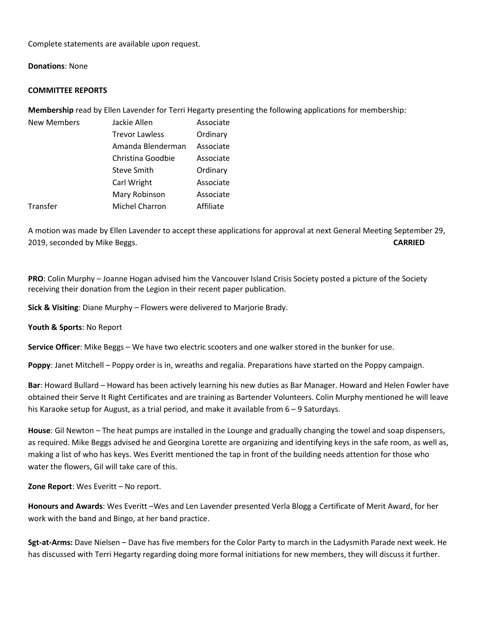Complete statements are available upon request.

#### **Donations**: None

#### **COMMITTEE REPORTS**

**Membership** read by Ellen Lavender for Terri Hegarty presenting the following applications for membership:

| <b>New Members</b> | Jackie Allen          | Associate |
|--------------------|-----------------------|-----------|
|                    | <b>Trevor Lawless</b> | Ordinary  |
|                    | Amanda Blenderman     | Associate |
|                    | Christina Goodbie     | Associate |
|                    | Steve Smith           | Ordinary  |
|                    | Carl Wright           | Associate |
|                    | Mary Robinson         | Associate |
| Transfer           | <b>Michel Charron</b> | Affiliate |

A motion was made by Ellen Lavender to accept these applications for approval at next General Meeting September 29, 2019, seconded by Mike Beggs. **CARRIED**

**PRO**: Colin Murphy – Joanne Hogan advised him the Vancouver Island Crisis Society posted a picture of the Society receiving their donation from the Legion in their recent paper publication.

**Sick & Visiting**: Diane Murphy – Flowers were delivered to Marjorie Brady.

**Youth & Sports**: No Report

**Service Officer**: Mike Beggs – We have two electric scooters and one walker stored in the bunker for use.

**Poppy**: Janet Mitchell – Poppy order is in, wreaths and regalia. Preparations have started on the Poppy campaign.

**Bar**: Howard Bullard – Howard has been actively learning his new duties as Bar Manager. Howard and Helen Fowler have obtained their Serve It Right Certificates and are training as Bartender Volunteers. Colin Murphy mentioned he will leave his Karaoke setup for August, as a trial period, and make it available from 6 – 9 Saturdays.

**House**: Gil Newton – The heat pumps are installed in the Lounge and gradually changing the towel and soap dispensers, as required. Mike Beggs advised he and Georgina Lorette are organizing and identifying keys in the safe room, as well as, making a list of who has keys. Wes Everitt mentioned the tap in front of the building needs attention for those who water the flowers, Gil will take care of this.

**Zone Report**: Wes Everitt – No report.

**Honours and Awards**: Wes Everitt –Wes and Len Lavender presented Verla Blogg a Certificate of Merit Award, for her work with the band and Bingo, at her band practice.

**Sgt-at-Arms:** Dave Nielsen – Dave has five members for the Color Party to march in the Ladysmith Parade next week. He has discussed with Terri Hegarty regarding doing more formal initiations for new members, they will discuss it further.